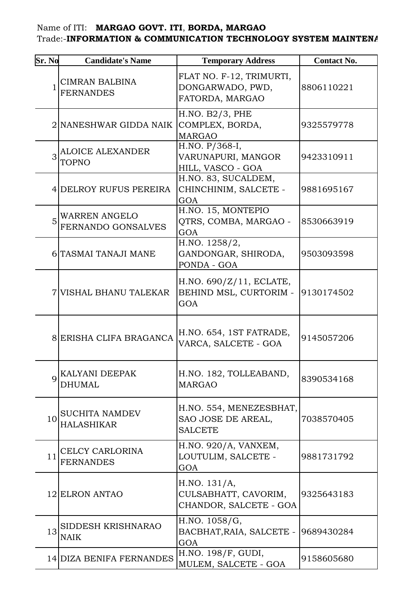## Name of ITI: **MARGAO GOVT. ITI**, **BORDA, MARGAO**  Trade:-INFORMATION & COMMUNICATION TECHNOLOGY SYSTEM MAINTENA

| Sr. No       | <b>Candidate's Name</b>                    | <b>Temporary Address</b>                                        | <b>Contact No.</b> |
|--------------|--------------------------------------------|-----------------------------------------------------------------|--------------------|
| $\mathbf{1}$ | CIMRAN BALBINA<br><b>FERNANDES</b>         | FLAT NO. F-12, TRIMURTI,<br>DONGARWADO, PWD,<br>FATORDA, MARGAO | 8806110221         |
|              | 2 NANESHWAR GIDDA NAIK                     | H.NO. B2/3, PHE<br>COMPLEX, BORDA,<br><b>MARGAO</b>             | 9325579778         |
| 3            | ALOICE ALEXANDER<br>TOPNO                  | H.NO. P/368-I,<br>VARUNAPURI, MANGOR<br>HILL, VASCO - GOA       | 9423310911         |
|              | 4DELROY RUFUS PEREIRA                      | H.NO. 83, SUCALDEM,<br>CHINCHINIM, SALCETE -<br>GOA             | 9881695167         |
| 5            | <b>WARREN ANGELO</b><br>FERNANDO GONSALVES | H.NO. 15, MONTEPIO<br>QTRS, COMBA, MARGAO -<br>GOA              | 8530663919         |
|              | 6 TASMAI TANAJI MANE                       | H.NO. 1258/2,<br>GANDONGAR, SHIRODA,<br>PONDA - GOA             | 9503093598         |
|              | 7 VISHAL BHANU TALEKAR                     | H.NO. $690/Z/11$ , ECLATE,<br>BEHIND MSL, CURTORIM -<br>GOA     | 9130174502         |
|              | 8 ERISHA CLIFA BRAGANCA                    | H.NO. 654, 1ST FATRADE,<br>VARCA, SALCETE - GOA                 | 9145057206         |
| $\mathbf Q$  | KALYANI DEEPAK<br>DHUMAL                   | H.NO. 182, TOLLEABAND,<br><b>MARGAO</b>                         | 8390534168         |
| 10           | <b>SUCHITA NAMDEV</b><br><b>HALASHIKAR</b> | H.NO. 554, MENEZESBHAT,<br>SAO JOSE DE AREAL,<br><b>SALCETE</b> | 7038570405         |
| 11           | CELCY CARLORINA<br><b>FERNANDES</b>        | H.NO. 920/A, VANXEM,<br>LOUTULIM, SALCETE -<br>GOA              | 9881731792         |
|              | 12 ELRON ANTAO                             | H.NO. 131/A,<br>CULSABHATT, CAVORIM,<br>CHANDOR, SALCETE - GOA  | 9325643183         |
| 13           | SIDDESH KRISHNARAO<br><b>NAIK</b>          | H.NO. 1058/G,<br>BACBHAT, RAIA, SALCETE -<br>GOA                | 9689430284         |
|              | 14 DIZA BENIFA FERNANDES                   | H.NO. 198/F, GUDI,<br>MULEM, SALCETE - GOA                      | 9158605680         |